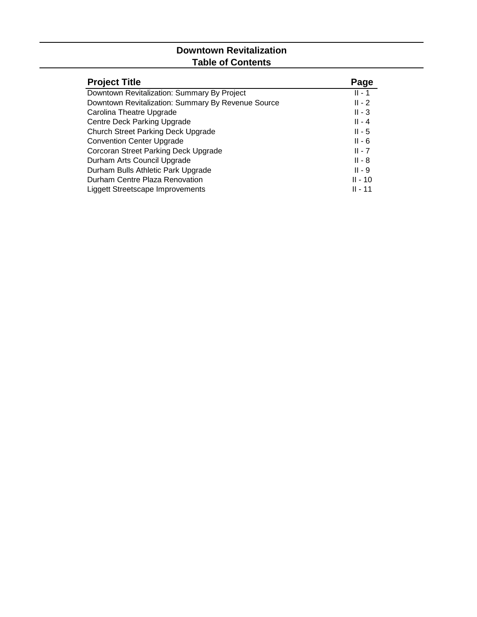# **Downtown Revitalization Table of Contents**

| <b>Project Title</b>                               | Page      |
|----------------------------------------------------|-----------|
| Downtown Revitalization: Summary By Project        | $II - 1$  |
| Downtown Revitalization: Summary By Revenue Source | $II - 2$  |
| Carolina Theatre Upgrade                           | $II - 3$  |
| Centre Deck Parking Upgrade                        | $II - 4$  |
| <b>Church Street Parking Deck Upgrade</b>          | $II - 5$  |
| <b>Convention Center Upgrade</b>                   | $II - 6$  |
| Corcoran Street Parking Deck Upgrade               | $II - 7$  |
| Durham Arts Council Upgrade                        | $II - 8$  |
| Durham Bulls Athletic Park Upgrade                 | $II - 9$  |
| Durham Centre Plaza Renovation                     | $II - 10$ |
| Liggett Streetscape Improvements                   | II - 11   |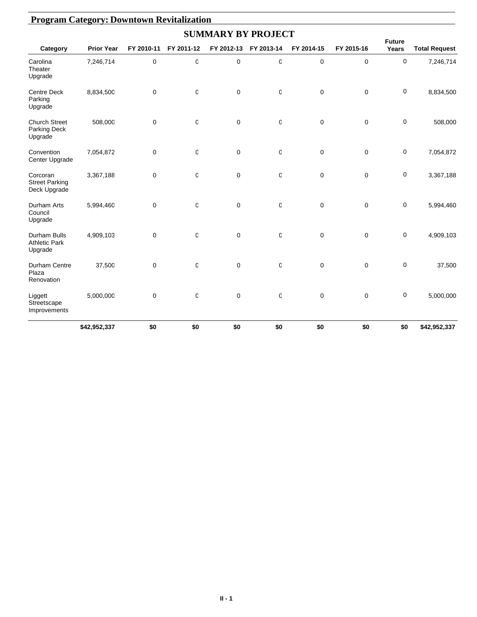|                                                        |                   |             |              |             | <b>SUMMARY BY PROJECT</b> |             |             |                        |                      |
|--------------------------------------------------------|-------------------|-------------|--------------|-------------|---------------------------|-------------|-------------|------------------------|----------------------|
| Category                                               | <b>Prior Year</b> | FY 2010-11  | FY 2011-12   | FY 2012-13  | FY 2013-14                | FY 2014-15  | FY 2015-16  | <b>Future</b><br>Years | <b>Total Request</b> |
| Carolina<br>Theater<br>Upgrade                         | 7,246,714         | 0           | 0            | $\mathbf 0$ | 0                         | $\mathbf 0$ | $\mathbf 0$ | 0                      | 7,246,714            |
| <b>Centre Deck</b><br>Parking<br>Upgrade               | 8,834,500         | 0           | $\mathbb{C}$ | $\mathbf 0$ | 0                         | 0           | 0           | 0                      | 8,834,500            |
| <b>Church Street</b><br>Parking Deck<br>Upgrade        | 508,000           | $\mathbf 0$ | $\mathbf 0$  | $\mathbf 0$ | 0                         | $\mathbf 0$ | $\mathbf 0$ | $\mathbf 0$            | 508,000              |
| Convention<br>Center Upgrade                           | 7,054,872         | 0           | 0            | $\mathbf 0$ | 0                         | $\mathbf 0$ | 0           | 0                      | 7,054,872            |
| Corcoran<br><b>Street Parking</b><br>Deck Upgrade      | 3,367,188         | 0           | C            | $\mathbf 0$ | 0                         | $\mathbf 0$ | 0           | 0                      | 3,367,188            |
| Durham Arts<br>Council<br>Upgrade                      | 5,994,460         | $\mathbf 0$ | $\mathsf 0$  | $\mathbf 0$ | $\mathbf 0$               | $\mathbf 0$ | $\mathbf 0$ | 0                      | 5,994,460            |
| <b>Durham Bulls</b><br><b>Athletic Park</b><br>Upgrade | 4,909,103         | $\mathbf 0$ | $\mathsf 0$  | $\mathbf 0$ | $\mathbf 0$               | $\mathbf 0$ | $\mathbf 0$ | 0                      | 4,909,103            |
| Durham Centre<br>Plaza<br>Renovation                   | 37,500            | 0           | $\mathsf 0$  | $\mathbf 0$ | $\mathbf 0$               | 0           | $\mathbf 0$ | 0                      | 37,500               |
| Liggett<br>Streetscape<br>Improvements                 | 5,000,000         | 0           | 0            | $\mathbf 0$ | 0                         | 0           | 0           | 0                      | 5,000,000            |
|                                                        | \$42,952,337      | \$0         | \$0          | \$0         | \$0                       | \$0         | \$0         | \$0                    | \$42,952,337         |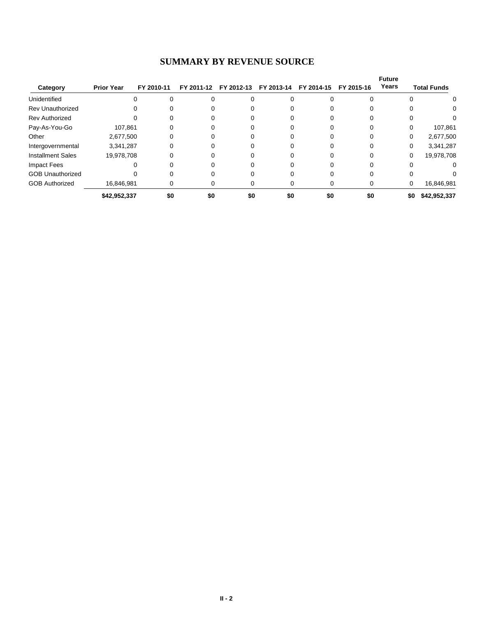#### **SUMMARY BY REVENUE SOURCE**

|                          |                   |            |     |                                  |     |            |            | <b>Future</b> |                    |
|--------------------------|-------------------|------------|-----|----------------------------------|-----|------------|------------|---------------|--------------------|
| Category                 | <b>Prior Year</b> | FY 2010-11 |     | FY 2011-12 FY 2012-13 FY 2013-14 |     | FY 2014-15 | FY 2015-16 | Years         | <b>Total Funds</b> |
| Unidentified             |                   |            |     |                                  |     |            |            |               | 0                  |
| <b>Rev Unauthorized</b>  |                   |            |     |                                  |     |            |            |               | 0                  |
| <b>Rev Authorized</b>    |                   |            |     |                                  |     |            |            |               |                    |
| Pay-As-You-Go            | 107,861           |            |     |                                  |     |            |            |               | 107,861            |
| Other                    | 2,677,500         |            |     |                                  |     |            |            | 0             | 2,677,500          |
| Intergovernmental        | 3,341,287         |            |     |                                  |     |            |            | 0             | 3,341,287          |
| <b>Installment Sales</b> | 19,978,708        |            |     |                                  |     |            |            | 0             | 19,978,708         |
| Impact Fees              |                   |            |     |                                  |     |            |            |               | 0                  |
| <b>GOB Unauthorized</b>  |                   |            |     |                                  |     |            |            |               | 0                  |
| <b>GOB Authorized</b>    | 16,846,981        |            |     |                                  |     |            |            | 0             | 16,846,981         |
|                          | \$42,952,337      | \$0        | \$0 | \$0                              | \$0 | \$0        | \$0        | \$0           | \$42,952,337       |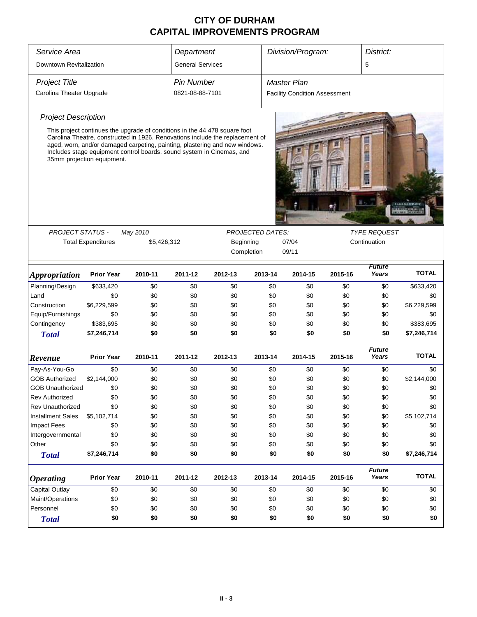| Service Area                |                                                                                       |                                                                                                                                                                                                                                                                                                                     | Department              |         |                     | Division/Program:                    |         | District:              |              |
|-----------------------------|---------------------------------------------------------------------------------------|---------------------------------------------------------------------------------------------------------------------------------------------------------------------------------------------------------------------------------------------------------------------------------------------------------------------|-------------------------|---------|---------------------|--------------------------------------|---------|------------------------|--------------|
| Downtown Revitalization     |                                                                                       |                                                                                                                                                                                                                                                                                                                     | <b>General Services</b> |         |                     |                                      |         | 5                      |              |
| <b>Project Title</b>        |                                                                                       |                                                                                                                                                                                                                                                                                                                     | <b>Pin Number</b>       |         |                     | <b>Master Plan</b>                   |         |                        |              |
| Carolina Theater Upgrade    |                                                                                       |                                                                                                                                                                                                                                                                                                                     | 0821-08-88-7101         |         |                     | <b>Facility Condition Assessment</b> |         |                        |              |
|                             |                                                                                       |                                                                                                                                                                                                                                                                                                                     |                         |         |                     |                                      |         |                        |              |
| <b>Project Description</b>  |                                                                                       |                                                                                                                                                                                                                                                                                                                     |                         |         |                     |                                      |         |                        |              |
|                             | 35mm projection equipment.                                                            | This project continues the upgrade of conditions in the 44,478 square foot<br>Carolina Theatre, constructed in 1926. Renovations include the replacement of<br>aged, worn, and/or damaged carpeting, painting, plastering and new windows.<br>Includes stage equipment control boards, sound system in Cinemas, and |                         |         |                     |                                      |         |                        |              |
|                             |                                                                                       |                                                                                                                                                                                                                                                                                                                     |                         |         |                     |                                      |         |                        |              |
| PROJECT STATUS -            |                                                                                       | May 2010                                                                                                                                                                                                                                                                                                            | <b>PROJECTED DATES:</b> |         | <b>TYPE REQUEST</b> |                                      |         |                        |              |
|                             | <b>Total Expenditures</b><br>Beginning<br>07/04<br>\$5,426,312<br>Completion<br>09/11 |                                                                                                                                                                                                                                                                                                                     |                         |         |                     |                                      |         | Continuation           |              |
|                             |                                                                                       |                                                                                                                                                                                                                                                                                                                     |                         |         |                     |                                      |         |                        |              |
| <i><b>Appropriation</b></i> | <b>Prior Year</b>                                                                     | 2010-11                                                                                                                                                                                                                                                                                                             | 2011-12                 | 2012-13 | 2013-14             | 2014-15                              | 2015-16 | <b>Future</b><br>Years | <b>TOTAL</b> |
| Planning/Design             | \$633,420                                                                             | \$0                                                                                                                                                                                                                                                                                                                 | \$0                     | \$0     | \$0                 | \$0                                  | \$0     | \$0                    | \$633,420    |
| Land                        | \$0                                                                                   | \$0                                                                                                                                                                                                                                                                                                                 | \$0                     | \$0     | \$0                 | \$0                                  | \$0     | \$0                    | \$0          |
| Construction                | \$6,229,599                                                                           | \$0                                                                                                                                                                                                                                                                                                                 | \$0                     | \$0     | \$0                 | \$0                                  | \$0     | \$0                    | \$6,229,599  |
| Equip/Furnishings           | \$0                                                                                   | \$0                                                                                                                                                                                                                                                                                                                 | \$0                     | \$0     | \$0                 | \$0                                  | \$0     | \$0                    | \$0          |
| Contingency                 | \$383,695                                                                             | \$0                                                                                                                                                                                                                                                                                                                 | \$0                     | \$0     | \$0                 | \$0                                  | \$0     | \$0                    | \$383,695    |
| <b>Total</b>                | \$7,246,714                                                                           | \$0                                                                                                                                                                                                                                                                                                                 | \$0                     | \$0     | \$0                 | \$0                                  | \$0     | \$0                    | \$7,246,714  |
| Revenue                     | <b>Prior Year</b>                                                                     | 2010-11                                                                                                                                                                                                                                                                                                             | 2011-12                 | 2012-13 | 2013-14             | 2014-15                              | 2015-16 | <b>Future</b><br>Years | <b>TOTAL</b> |
| Pay-As-You-Go               | \$0                                                                                   | \$0                                                                                                                                                                                                                                                                                                                 | \$0                     | \$0     | \$0                 | \$0                                  | \$0     | \$0                    | \$0          |
| <b>GOB Authorized</b>       | \$2,144,000                                                                           | \$0                                                                                                                                                                                                                                                                                                                 | \$0                     | \$0     | \$0                 | \$0                                  | \$0     | \$0                    | \$2,144,000  |
| <b>GOB Unauthorized</b>     | \$0                                                                                   | \$0                                                                                                                                                                                                                                                                                                                 | \$0                     | \$0     | \$0                 | \$0                                  | \$0     | \$0                    | \$0          |
| <b>Rev Authorized</b>       | \$0                                                                                   | \$0                                                                                                                                                                                                                                                                                                                 | \$0                     | \$0     | \$0                 | \$0                                  | \$0     | \$0                    | \$0          |
| <b>Rev Unauthorized</b>     | \$0                                                                                   | \$0                                                                                                                                                                                                                                                                                                                 | \$0                     | \$0     | \$0                 | \$0                                  | \$0     | \$0                    | \$0          |
| <b>Installment Sales</b>    | \$5,102,714                                                                           | \$0                                                                                                                                                                                                                                                                                                                 | \$0                     | \$0     | \$0                 | \$0                                  | \$0     | \$0                    | \$5,102,714  |
| <b>Impact Fees</b>          | \$0                                                                                   | \$0                                                                                                                                                                                                                                                                                                                 | \$0                     | \$0     | \$0                 | \$0                                  | \$0     | \$0                    | \$0          |
| Intergovernmental           | \$0                                                                                   | \$0                                                                                                                                                                                                                                                                                                                 | \$0                     | \$0     | \$0                 | \$0                                  | \$0     | \$0                    | \$0          |
| Other                       | \$0                                                                                   | \$0                                                                                                                                                                                                                                                                                                                 | \$0                     | \$0     | \$0                 | \$0                                  | \$0     | \$0                    | \$0          |
| <b>Total</b>                | \$7,246,714                                                                           | \$0                                                                                                                                                                                                                                                                                                                 | \$0                     | \$0     | \$0                 | \$0                                  | \$0     | \$0                    | \$7,246,714  |
| <b>Operating</b>            | <b>Prior Year</b>                                                                     | 2010-11                                                                                                                                                                                                                                                                                                             | 2011-12                 | 2012-13 | 2013-14             | 2014-15                              | 2015-16 | <b>Future</b><br>Years | <b>TOTAL</b> |
| Capital Outlay              | \$0                                                                                   | \$0                                                                                                                                                                                                                                                                                                                 | \$0                     | \$0     | \$0                 | \$0                                  | \$0     | \$0                    | \$0          |
| Maint/Operations            | \$0                                                                                   | \$0                                                                                                                                                                                                                                                                                                                 | \$0                     | \$0     | \$0                 | \$0                                  | \$0     | \$0                    | \$0          |
| Personnel                   | \$0                                                                                   | \$0                                                                                                                                                                                                                                                                                                                 | \$0                     | \$0     | \$0                 | \$0                                  | \$0     | \$0                    | \$0          |
| <b>Total</b>                | \$0                                                                                   | \$0                                                                                                                                                                                                                                                                                                                 | \$0                     | \$0     | \$0                 | \$0                                  | \$0     | \$0                    | \$0          |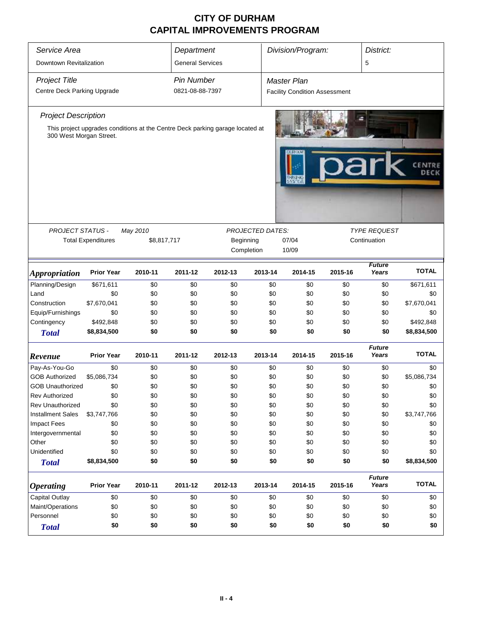| Service Area<br>Downtown Revitalization             | Department<br><b>General Services</b>                                                 |          |                                      | Division/Program: |                         | District:<br>5                                             |              |                        |              |
|-----------------------------------------------------|---------------------------------------------------------------------------------------|----------|--------------------------------------|-------------------|-------------------------|------------------------------------------------------------|--------------|------------------------|--------------|
| <b>Project Title</b><br>Centre Deck Parking Upgrade |                                                                                       |          | <b>Pin Number</b><br>0821-08-88-7397 |                   |                         | <b>Master Plan</b><br><b>Facility Condition Assessment</b> |              |                        |              |
|                                                     |                                                                                       |          |                                      |                   |                         |                                                            |              |                        |              |
| <b>Project Description</b>                          |                                                                                       |          |                                      |                   |                         |                                                            |              |                        |              |
| 300 West Morgan Street.                             | This project upgrades conditions at the Centre Deck parking garage located at         |          |                                      |                   |                         |                                                            |              |                        |              |
|                                                     |                                                                                       |          |                                      |                   |                         |                                                            |              |                        | DECK         |
|                                                     |                                                                                       |          |                                      |                   |                         |                                                            |              |                        |              |
| <b>PROJECT STATUS -</b>                             |                                                                                       | May 2010 |                                      |                   | <b>PROJECTED DATES:</b> |                                                            |              | <b>TYPE REQUEST</b>    |              |
|                                                     | <b>Total Expenditures</b><br>\$8,817,717<br>Beginning<br>07/04<br>10/09<br>Completion |          |                                      |                   |                         |                                                            | Continuation |                        |              |
|                                                     |                                                                                       |          |                                      |                   |                         |                                                            |              | <b>Future</b>          |              |
| <b>Appropriation</b>                                | <b>Prior Year</b>                                                                     | 2010-11  | 2011-12                              | 2012-13           | 2013-14                 | 2014-15                                                    | 2015-16      | Years                  | <b>TOTAL</b> |
| Planning/Design                                     | \$671,611                                                                             | \$0      | \$0                                  | \$0               | \$0                     | \$0                                                        | \$0          | \$0                    | \$671,611    |
| Land                                                | \$0                                                                                   | \$0      | \$0                                  | \$0               | \$0                     | \$0                                                        | \$0          | \$0                    | \$0          |
| Construction                                        | \$7,670,041                                                                           | \$0      | \$0                                  | \$0               | \$0                     | \$0                                                        | \$0          | \$0                    | \$7,670,041  |
| Equip/Furnishings                                   | \$0                                                                                   | \$0      | \$0                                  | \$0               | \$0                     | \$0                                                        | \$0          | \$0                    | \$0          |
| Contingency                                         | \$492,848                                                                             | \$0      | \$0                                  | \$0               | \$0                     | \$0                                                        | \$0          | \$0                    | \$492,848    |
| <b>Total</b>                                        | \$8,834,500                                                                           | \$0      | \$0                                  | \$0               | \$0                     | \$0                                                        | \$0          | \$0                    | \$8,834,500  |
| Revenue                                             | <b>Prior Year</b>                                                                     | 2010-11  | 2011-12                              | 2012-13           | 2013-14                 | 2014-15                                                    | 2015-16      | <b>Future</b><br>Years | <b>TOTAL</b> |
| Pay-As-You-Go                                       | \$0                                                                                   | \$0      | \$0                                  | \$0               | \$0                     | \$0                                                        | \$0          | \$0                    | \$0          |
| <b>GOB Authorized</b>                               | \$5,086,734                                                                           | \$0      | \$0                                  | \$0               | \$0                     | \$0                                                        | \$0          | \$0                    | \$5,086,734  |
| <b>GOB Unauthorized</b>                             | \$0                                                                                   | \$0      | \$0                                  | \$0               | \$0                     | \$0                                                        | \$0          | \$0                    | \$0          |
| <b>Rev Authorized</b>                               | \$0                                                                                   | \$0      | \$0                                  | \$0               | \$0                     | \$0                                                        | \$0          | \$0                    | \$0          |
| <b>Rev Unauthorized</b>                             | \$0                                                                                   | \$0      | \$0                                  | \$0               | \$0                     | \$0                                                        | \$0          | \$0                    | \$0          |
| <b>Installment Sales</b>                            | \$3,747,766                                                                           | \$0      | \$0                                  | \$0               | \$0                     | \$0                                                        | \$0          | \$0                    | \$3,747,766  |
| <b>Impact Fees</b>                                  | \$0                                                                                   | \$0      | \$0                                  | \$0               | \$0                     | \$0                                                        | \$0          | \$0                    | \$0          |
| Intergovernmental                                   | \$0                                                                                   | \$0      | \$0                                  | \$0               | \$0                     | \$0                                                        | \$0          | \$0                    | \$0          |
| Other                                               | \$0                                                                                   | \$0      | \$0                                  | \$0               | \$0                     | \$0                                                        | \$0          | \$0                    | \$0          |
| Unidentified                                        | \$0                                                                                   | \$0      | \$0                                  | \$0               | \$0                     | \$0                                                        | \$0          | \$0                    | \$0          |
| <b>Total</b>                                        | \$8,834,500                                                                           | \$0      | \$0                                  | \$0               | \$0                     | \$0                                                        | \$0          | \$0                    | \$8,834,500  |
| <b>Operating</b>                                    | <b>Prior Year</b>                                                                     | 2010-11  | 2011-12                              | 2012-13           | 2013-14                 | 2014-15                                                    | 2015-16      | <b>Future</b><br>Years | <b>TOTAL</b> |
| Capital Outlay                                      | \$0                                                                                   | \$0      | \$0                                  | \$0               | \$0                     | \$0                                                        | \$0          | \$0                    | \$0          |
| Maint/Operations                                    | \$0                                                                                   | \$0      | \$0                                  | \$0               | \$0                     | \$0                                                        | \$0          | \$0                    | \$0          |
| Personnel                                           | \$0                                                                                   | \$0      | \$0                                  | \$0               | \$0                     | \$0                                                        | \$0          | \$0                    | \$0          |
| <b>Total</b>                                        | \$0                                                                                   | \$0      | \$0                                  | \$0               | \$0                     | \$0                                                        | \$0          | \$0                    | \$0          |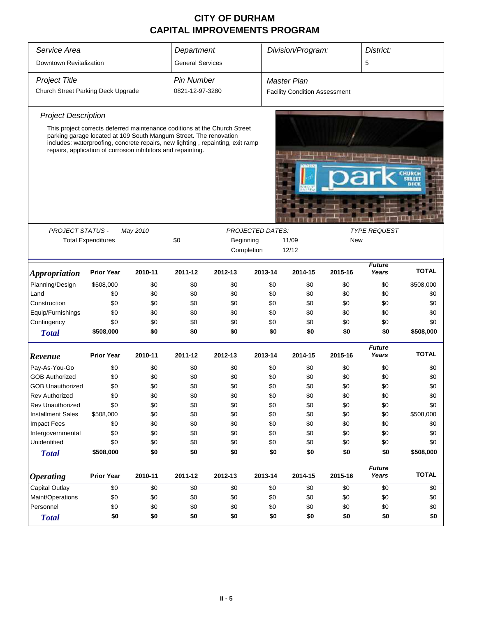| Service Area                              | Department                |                                                                                                                                                                                                                     |                         | Division/Program:<br>District: |            |                                      |            |                        |                  |
|-------------------------------------------|---------------------------|---------------------------------------------------------------------------------------------------------------------------------------------------------------------------------------------------------------------|-------------------------|--------------------------------|------------|--------------------------------------|------------|------------------------|------------------|
| Downtown Revitalization                   |                           |                                                                                                                                                                                                                     | <b>General Services</b> |                                |            |                                      |            | 5                      |                  |
| <b>Project Title</b>                      |                           |                                                                                                                                                                                                                     | <b>Pin Number</b>       |                                |            | <b>Master Plan</b>                   |            |                        |                  |
| Church Street Parking Deck Upgrade        |                           |                                                                                                                                                                                                                     | 0821-12-97-3280         |                                |            | <b>Facility Condition Assessment</b> |            |                        |                  |
|                                           |                           |                                                                                                                                                                                                                     |                         |                                |            |                                      |            |                        |                  |
| <b>Project Description</b>                |                           | This project corrects deferred maintenance coditions at the Church Street                                                                                                                                           |                         |                                |            |                                      |            |                        |                  |
|                                           |                           | parking garage located at 109 South Mangum Street. The renovation<br>includes: waterproofing, concrete repairs, new lighting, repainting, exit ramp<br>repairs, application of corrosion inhibitors and repainting. |                         |                                |            |                                      |            |                        |                  |
|                                           |                           |                                                                                                                                                                                                                     |                         |                                |            |                                      |            |                        |                  |
|                                           |                           |                                                                                                                                                                                                                     |                         |                                |            |                                      |            |                        |                  |
|                                           |                           |                                                                                                                                                                                                                     |                         |                                |            |                                      |            |                        |                  |
| <b>PROJECT STATUS -</b>                   |                           | May 2010                                                                                                                                                                                                            |                         | <b>PROJECTED DATES:</b>        |            | <b>TYPE REQUEST</b>                  |            |                        |                  |
|                                           | <b>Total Expenditures</b> |                                                                                                                                                                                                                     | \$0                     | Beginning                      |            | 11/09                                | <b>New</b> |                        |                  |
|                                           |                           |                                                                                                                                                                                                                     |                         | Completion                     |            | 12/12                                |            |                        |                  |
|                                           |                           |                                                                                                                                                                                                                     |                         |                                |            |                                      |            | <b>Future</b>          |                  |
| <i><b>Appropriation</b></i>               | <b>Prior Year</b>         | 2010-11                                                                                                                                                                                                             | 2011-12                 | 2012-13                        | 2013-14    | 2014-15                              | 2015-16    | Years                  | <b>TOTAL</b>     |
| Planning/Design                           | \$508,000                 | \$0                                                                                                                                                                                                                 | \$0                     | \$0                            | \$0        | \$0                                  | \$0        | \$0                    | \$508,000        |
| Land                                      | \$0                       | \$0                                                                                                                                                                                                                 | \$0                     | \$0                            | \$0        | \$0                                  | \$0        | \$0                    | \$0              |
| Construction                              | \$0                       | \$0                                                                                                                                                                                                                 | \$0                     | \$0                            | \$0        | \$0                                  | \$0        | \$0                    | \$0              |
| Equip/Furnishings                         | \$0                       | \$0                                                                                                                                                                                                                 | \$0                     | \$0                            | \$0        | \$0                                  | \$0        | \$0                    | \$0              |
| Contingency                               | \$0                       | \$0                                                                                                                                                                                                                 | \$0                     | \$0                            | \$0        | \$0                                  | \$0        | \$0                    | \$0              |
| <b>Total</b>                              | \$508,000                 | \$0                                                                                                                                                                                                                 | \$0                     | \$0                            | \$0        | \$0                                  | \$0        | \$0                    | \$508,000        |
| Revenue                                   | <b>Prior Year</b>         | 2010-11                                                                                                                                                                                                             | 2011-12                 | 2012-13                        | 2013-14    | 2014-15                              | 2015-16    | <b>Future</b><br>Years | <b>TOTAL</b>     |
|                                           |                           |                                                                                                                                                                                                                     |                         |                                |            |                                      |            |                        |                  |
| Pay-As-You-Go                             | \$0                       | \$0                                                                                                                                                                                                                 | \$0                     | \$0                            | \$0        | \$0                                  | \$0        | \$0                    | \$0              |
| <b>GOB Authorized</b>                     | \$0                       | \$0<br>\$0                                                                                                                                                                                                          | \$0<br>\$0              | \$0                            | \$0<br>\$0 | \$0<br>\$0                           | \$0<br>\$0 | \$0<br>\$0             | \$0<br>\$0       |
| <b>GOB Unauthorized</b><br>Rev Authorized | \$0                       |                                                                                                                                                                                                                     |                         | \$0                            |            |                                      |            |                        |                  |
| Rev Unauthorized                          | \$0<br>\$0                | \$0<br>\$0                                                                                                                                                                                                          | \$0<br>\$0              | \$0<br>\$0                     | \$0        | \$0                                  | \$0<br>\$0 | \$0<br>\$0             | \$0              |
| <b>Installment Sales</b>                  | \$508,000                 | \$0                                                                                                                                                                                                                 | \$0                     | \$0                            | \$0<br>\$0 | \$0<br>\$0                           | \$0        | \$0                    | \$0<br>\$508,000 |
| <b>Impact Fees</b>                        | \$0                       | \$0                                                                                                                                                                                                                 | \$0                     | \$0                            | \$0        | \$0                                  | \$0        | \$0                    | \$0              |
| Intergovernmental                         | \$0                       | \$0                                                                                                                                                                                                                 | \$0                     | \$0                            | \$0        | \$0                                  | \$0        | \$0                    | \$0              |
| Unidentified                              | \$0                       | \$0                                                                                                                                                                                                                 | \$0                     | \$0                            | \$0        | \$0                                  | \$0        | \$0                    | \$0              |
| <b>Total</b>                              | \$508,000                 | \$0                                                                                                                                                                                                                 | \$0                     | \$0                            | \$0        | \$0                                  | \$0        | \$0                    | \$508,000        |
|                                           |                           |                                                                                                                                                                                                                     |                         |                                |            |                                      |            | <b>Future</b>          |                  |
| <b>Operating</b>                          | <b>Prior Year</b>         | 2010-11                                                                                                                                                                                                             | 2011-12                 | 2012-13                        | 2013-14    | 2014-15                              | 2015-16    | Years                  | <b>TOTAL</b>     |
| Capital Outlay                            | \$0                       | \$0                                                                                                                                                                                                                 | \$0                     | \$0                            | \$0        | \$0                                  | \$0        | \$0                    | \$0              |
| Maint/Operations                          | \$0                       | \$0                                                                                                                                                                                                                 | \$0                     | \$0                            | \$0        | \$0                                  | \$0        | \$0                    | \$0              |
| Personnel                                 | \$0                       | \$0                                                                                                                                                                                                                 | \$0                     | \$0                            | \$0        | \$0                                  | \$0        | \$0                    | \$0              |
| <b>Total</b>                              | \$0                       | \$0                                                                                                                                                                                                                 | \$0                     | \$0                            | \$0        | \$0                                  | \$0        | \$0                    | \$0              |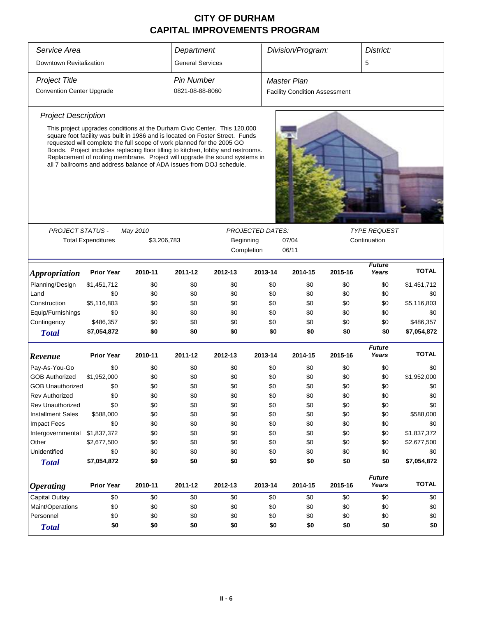| Service Area<br>Department<br>Division/Program:<br>District:<br>Downtown Revitalization<br><b>General Services</b><br>5<br><b>Project Title</b><br><b>Pin Number</b><br><b>Master Plan</b><br><b>Convention Center Upgrade</b><br>0821-08-88-8060<br><b>Facility Condition Assessment</b><br><b>Project Description</b><br>This project upgrades conditions at the Durham Civic Center. This 120,000<br>square foot facility was built in 1986 and is located on Foster Street. Funds<br>requested will complete the full scope of work planned for the 2005 GO<br>Bonds. Project includes replacing floor tilling to kitchen, lobby and restrooms.<br>Replacement of roofing membrane. Project will upgrade the sound systems in<br>all 7 ballrooms and address balance of ADA issues from DOJ schedule.<br><b>TYPE REQUEST</b><br><b>PROJECT STATUS -</b><br>May 2010<br><b>PROJECTED DATES:</b><br><b>Total Expenditures</b><br>\$3,206,783<br>Beginning<br>07/04<br>Continuation<br>Completion<br>06/11<br><b>Future</b><br><b>TOTAL</b><br>Years<br><b>Prior Year</b><br>2010-11<br>2011-12<br>2012-13<br>2013-14<br>2014-15<br>2015-16<br><i><b>Appropriation</b></i><br>Planning/Design<br>\$1,451,712<br>\$1,451,712<br>\$0<br>\$0<br>\$0<br>\$0<br>\$0<br>\$0<br>\$0<br>\$0<br>\$0<br>\$0<br>\$0<br>\$0<br>\$0<br>\$0<br>\$0<br>\$0<br>Land<br>\$5,116,803<br>\$5,116,803<br>Construction<br>\$0<br>\$0<br>\$0<br>\$0<br>\$0<br>\$0<br>\$0<br>Equip/Furnishings<br>\$0<br>\$0<br>\$0<br>\$0<br>\$0<br>\$0<br>\$0<br>\$0<br>\$0<br>Contingency<br>\$486,357<br>\$0<br>\$0<br>\$0<br>\$0<br>\$0<br>\$0<br>\$0<br>\$486,357<br>\$7,054,872<br>\$0<br>\$0<br>\$0<br>\$0<br>\$0<br>\$0<br>\$0<br>\$7,054,872<br><b>Total</b><br><b>Future</b><br><b>TOTAL</b><br><b>Prior Year</b><br>2010-11<br>2011-12<br>2012-13<br>2013-14<br>2015-16<br>Years<br>2014-15<br>Revenue<br>\$0<br>Pay-As-You-Go<br>\$0<br>\$0<br>\$0<br>\$0<br>\$0<br>\$0<br>\$0<br>\$0<br><b>GOB Authorized</b><br>\$1,952,000<br>\$0<br>\$0<br>\$0<br>\$0<br>\$0<br>\$0<br>\$0<br>\$1,952,000<br>\$0<br>\$0<br>\$0<br>\$0<br>\$0<br>\$0<br>\$0<br>\$0<br>GOB Unauthorized<br>\$0<br>\$0<br>\$0<br>\$0<br>\$0<br>\$0<br>\$0<br>\$0<br>\$0<br>\$0<br>Rev Authorized<br>\$0<br><b>Rev Unauthorized</b><br>\$0<br>\$0<br>\$0<br>\$0<br>\$0<br>\$0<br>\$0<br>\$0<br>\$588,000<br><b>Installment Sales</b><br>\$0<br>\$0<br>\$0<br>\$0<br>\$0<br>\$0<br>\$0<br>\$588,000<br><b>Impact Fees</b><br>\$0<br>\$0<br>\$0<br>\$0<br>\$0<br>\$0<br>\$0<br>\$0<br>\$0<br>\$1,837,372<br>\$0<br>\$0<br>\$0<br>\$0<br>\$0<br>\$0<br>\$0<br>\$1,837,372<br>Intergovernmental<br>Other<br>\$2,677,500<br>\$0<br>\$0<br>\$0<br>\$0<br>\$0<br>\$0<br>\$2,677,500<br>\$0<br>Unidentified<br>\$0<br>\$0<br>\$0<br>\$0<br>\$0<br>\$0<br>\$0<br>\$0<br>\$0<br>\$7,054,872<br>\$7,054,872<br>\$0<br>\$0<br>\$0<br>\$0<br>\$0<br>\$0<br>\$0<br><b>Total</b><br><b>Future</b><br><b>TOTAL</b><br><b>Prior Year</b><br>Years<br>2010-11<br>2011-12<br>2012-13<br>2013-14<br>2014-15<br>2015-16<br><b>Operating</b><br>Capital Outlay<br>\$0<br>\$0<br>\$0<br>\$0<br>\$0<br>\$0<br>\$0<br>\$0<br>\$0<br>Maint/Operations<br>\$0<br>\$0<br>\$0<br>\$0<br>\$0<br>\$0<br>\$0<br>\$0<br>\$0<br>Personnel<br>\$0<br>\$0<br>\$0<br>\$0<br>\$0<br>\$0<br>\$0<br>\$0<br>\$0<br>\$0<br>\$0<br>\$0<br>\$0<br>\$0<br>\$0<br>\$0<br>\$0<br>\$0<br><b>Total</b> |  |  |  |  |  |  |  |  |
|----------------------------------------------------------------------------------------------------------------------------------------------------------------------------------------------------------------------------------------------------------------------------------------------------------------------------------------------------------------------------------------------------------------------------------------------------------------------------------------------------------------------------------------------------------------------------------------------------------------------------------------------------------------------------------------------------------------------------------------------------------------------------------------------------------------------------------------------------------------------------------------------------------------------------------------------------------------------------------------------------------------------------------------------------------------------------------------------------------------------------------------------------------------------------------------------------------------------------------------------------------------------------------------------------------------------------------------------------------------------------------------------------------------------------------------------------------------------------------------------------------------------------------------------------------------------------------------------------------------------------------------------------------------------------------------------------------------------------------------------------------------------------------------------------------------------------------------------------------------------------------------------------------------------------------------------------------------------------------------------------------------------------------------------------------------------------------------------------------------------------------------------------------------------------------------------------------------------------------------------------------------------------------------------------------------------------------------------------------------------------------------------------------------------------------------------------------------------------------------------------------------------------------------------------------------------------------------------------------------------------------------------------------------------------------------------------------------------------------------------------------------------------------------------------------------------------------------------------------------------------------------------------------------------------------------------------------------------------------------------------------------------------------------------------------------------------------------------------------------------------------------------------------------------------------------------------------------------------------------------------------------------------------------------------------------------------------------------------------------------------------------------|--|--|--|--|--|--|--|--|
|                                                                                                                                                                                                                                                                                                                                                                                                                                                                                                                                                                                                                                                                                                                                                                                                                                                                                                                                                                                                                                                                                                                                                                                                                                                                                                                                                                                                                                                                                                                                                                                                                                                                                                                                                                                                                                                                                                                                                                                                                                                                                                                                                                                                                                                                                                                                                                                                                                                                                                                                                                                                                                                                                                                                                                                                                                                                                                                                                                                                                                                                                                                                                                                                                                                                                                                                                                                              |  |  |  |  |  |  |  |  |
|                                                                                                                                                                                                                                                                                                                                                                                                                                                                                                                                                                                                                                                                                                                                                                                                                                                                                                                                                                                                                                                                                                                                                                                                                                                                                                                                                                                                                                                                                                                                                                                                                                                                                                                                                                                                                                                                                                                                                                                                                                                                                                                                                                                                                                                                                                                                                                                                                                                                                                                                                                                                                                                                                                                                                                                                                                                                                                                                                                                                                                                                                                                                                                                                                                                                                                                                                                                              |  |  |  |  |  |  |  |  |
|                                                                                                                                                                                                                                                                                                                                                                                                                                                                                                                                                                                                                                                                                                                                                                                                                                                                                                                                                                                                                                                                                                                                                                                                                                                                                                                                                                                                                                                                                                                                                                                                                                                                                                                                                                                                                                                                                                                                                                                                                                                                                                                                                                                                                                                                                                                                                                                                                                                                                                                                                                                                                                                                                                                                                                                                                                                                                                                                                                                                                                                                                                                                                                                                                                                                                                                                                                                              |  |  |  |  |  |  |  |  |
|                                                                                                                                                                                                                                                                                                                                                                                                                                                                                                                                                                                                                                                                                                                                                                                                                                                                                                                                                                                                                                                                                                                                                                                                                                                                                                                                                                                                                                                                                                                                                                                                                                                                                                                                                                                                                                                                                                                                                                                                                                                                                                                                                                                                                                                                                                                                                                                                                                                                                                                                                                                                                                                                                                                                                                                                                                                                                                                                                                                                                                                                                                                                                                                                                                                                                                                                                                                              |  |  |  |  |  |  |  |  |
|                                                                                                                                                                                                                                                                                                                                                                                                                                                                                                                                                                                                                                                                                                                                                                                                                                                                                                                                                                                                                                                                                                                                                                                                                                                                                                                                                                                                                                                                                                                                                                                                                                                                                                                                                                                                                                                                                                                                                                                                                                                                                                                                                                                                                                                                                                                                                                                                                                                                                                                                                                                                                                                                                                                                                                                                                                                                                                                                                                                                                                                                                                                                                                                                                                                                                                                                                                                              |  |  |  |  |  |  |  |  |
|                                                                                                                                                                                                                                                                                                                                                                                                                                                                                                                                                                                                                                                                                                                                                                                                                                                                                                                                                                                                                                                                                                                                                                                                                                                                                                                                                                                                                                                                                                                                                                                                                                                                                                                                                                                                                                                                                                                                                                                                                                                                                                                                                                                                                                                                                                                                                                                                                                                                                                                                                                                                                                                                                                                                                                                                                                                                                                                                                                                                                                                                                                                                                                                                                                                                                                                                                                                              |  |  |  |  |  |  |  |  |
|                                                                                                                                                                                                                                                                                                                                                                                                                                                                                                                                                                                                                                                                                                                                                                                                                                                                                                                                                                                                                                                                                                                                                                                                                                                                                                                                                                                                                                                                                                                                                                                                                                                                                                                                                                                                                                                                                                                                                                                                                                                                                                                                                                                                                                                                                                                                                                                                                                                                                                                                                                                                                                                                                                                                                                                                                                                                                                                                                                                                                                                                                                                                                                                                                                                                                                                                                                                              |  |  |  |  |  |  |  |  |
|                                                                                                                                                                                                                                                                                                                                                                                                                                                                                                                                                                                                                                                                                                                                                                                                                                                                                                                                                                                                                                                                                                                                                                                                                                                                                                                                                                                                                                                                                                                                                                                                                                                                                                                                                                                                                                                                                                                                                                                                                                                                                                                                                                                                                                                                                                                                                                                                                                                                                                                                                                                                                                                                                                                                                                                                                                                                                                                                                                                                                                                                                                                                                                                                                                                                                                                                                                                              |  |  |  |  |  |  |  |  |
|                                                                                                                                                                                                                                                                                                                                                                                                                                                                                                                                                                                                                                                                                                                                                                                                                                                                                                                                                                                                                                                                                                                                                                                                                                                                                                                                                                                                                                                                                                                                                                                                                                                                                                                                                                                                                                                                                                                                                                                                                                                                                                                                                                                                                                                                                                                                                                                                                                                                                                                                                                                                                                                                                                                                                                                                                                                                                                                                                                                                                                                                                                                                                                                                                                                                                                                                                                                              |  |  |  |  |  |  |  |  |
|                                                                                                                                                                                                                                                                                                                                                                                                                                                                                                                                                                                                                                                                                                                                                                                                                                                                                                                                                                                                                                                                                                                                                                                                                                                                                                                                                                                                                                                                                                                                                                                                                                                                                                                                                                                                                                                                                                                                                                                                                                                                                                                                                                                                                                                                                                                                                                                                                                                                                                                                                                                                                                                                                                                                                                                                                                                                                                                                                                                                                                                                                                                                                                                                                                                                                                                                                                                              |  |  |  |  |  |  |  |  |
|                                                                                                                                                                                                                                                                                                                                                                                                                                                                                                                                                                                                                                                                                                                                                                                                                                                                                                                                                                                                                                                                                                                                                                                                                                                                                                                                                                                                                                                                                                                                                                                                                                                                                                                                                                                                                                                                                                                                                                                                                                                                                                                                                                                                                                                                                                                                                                                                                                                                                                                                                                                                                                                                                                                                                                                                                                                                                                                                                                                                                                                                                                                                                                                                                                                                                                                                                                                              |  |  |  |  |  |  |  |  |
|                                                                                                                                                                                                                                                                                                                                                                                                                                                                                                                                                                                                                                                                                                                                                                                                                                                                                                                                                                                                                                                                                                                                                                                                                                                                                                                                                                                                                                                                                                                                                                                                                                                                                                                                                                                                                                                                                                                                                                                                                                                                                                                                                                                                                                                                                                                                                                                                                                                                                                                                                                                                                                                                                                                                                                                                                                                                                                                                                                                                                                                                                                                                                                                                                                                                                                                                                                                              |  |  |  |  |  |  |  |  |
|                                                                                                                                                                                                                                                                                                                                                                                                                                                                                                                                                                                                                                                                                                                                                                                                                                                                                                                                                                                                                                                                                                                                                                                                                                                                                                                                                                                                                                                                                                                                                                                                                                                                                                                                                                                                                                                                                                                                                                                                                                                                                                                                                                                                                                                                                                                                                                                                                                                                                                                                                                                                                                                                                                                                                                                                                                                                                                                                                                                                                                                                                                                                                                                                                                                                                                                                                                                              |  |  |  |  |  |  |  |  |
|                                                                                                                                                                                                                                                                                                                                                                                                                                                                                                                                                                                                                                                                                                                                                                                                                                                                                                                                                                                                                                                                                                                                                                                                                                                                                                                                                                                                                                                                                                                                                                                                                                                                                                                                                                                                                                                                                                                                                                                                                                                                                                                                                                                                                                                                                                                                                                                                                                                                                                                                                                                                                                                                                                                                                                                                                                                                                                                                                                                                                                                                                                                                                                                                                                                                                                                                                                                              |  |  |  |  |  |  |  |  |
|                                                                                                                                                                                                                                                                                                                                                                                                                                                                                                                                                                                                                                                                                                                                                                                                                                                                                                                                                                                                                                                                                                                                                                                                                                                                                                                                                                                                                                                                                                                                                                                                                                                                                                                                                                                                                                                                                                                                                                                                                                                                                                                                                                                                                                                                                                                                                                                                                                                                                                                                                                                                                                                                                                                                                                                                                                                                                                                                                                                                                                                                                                                                                                                                                                                                                                                                                                                              |  |  |  |  |  |  |  |  |
|                                                                                                                                                                                                                                                                                                                                                                                                                                                                                                                                                                                                                                                                                                                                                                                                                                                                                                                                                                                                                                                                                                                                                                                                                                                                                                                                                                                                                                                                                                                                                                                                                                                                                                                                                                                                                                                                                                                                                                                                                                                                                                                                                                                                                                                                                                                                                                                                                                                                                                                                                                                                                                                                                                                                                                                                                                                                                                                                                                                                                                                                                                                                                                                                                                                                                                                                                                                              |  |  |  |  |  |  |  |  |
|                                                                                                                                                                                                                                                                                                                                                                                                                                                                                                                                                                                                                                                                                                                                                                                                                                                                                                                                                                                                                                                                                                                                                                                                                                                                                                                                                                                                                                                                                                                                                                                                                                                                                                                                                                                                                                                                                                                                                                                                                                                                                                                                                                                                                                                                                                                                                                                                                                                                                                                                                                                                                                                                                                                                                                                                                                                                                                                                                                                                                                                                                                                                                                                                                                                                                                                                                                                              |  |  |  |  |  |  |  |  |
|                                                                                                                                                                                                                                                                                                                                                                                                                                                                                                                                                                                                                                                                                                                                                                                                                                                                                                                                                                                                                                                                                                                                                                                                                                                                                                                                                                                                                                                                                                                                                                                                                                                                                                                                                                                                                                                                                                                                                                                                                                                                                                                                                                                                                                                                                                                                                                                                                                                                                                                                                                                                                                                                                                                                                                                                                                                                                                                                                                                                                                                                                                                                                                                                                                                                                                                                                                                              |  |  |  |  |  |  |  |  |
|                                                                                                                                                                                                                                                                                                                                                                                                                                                                                                                                                                                                                                                                                                                                                                                                                                                                                                                                                                                                                                                                                                                                                                                                                                                                                                                                                                                                                                                                                                                                                                                                                                                                                                                                                                                                                                                                                                                                                                                                                                                                                                                                                                                                                                                                                                                                                                                                                                                                                                                                                                                                                                                                                                                                                                                                                                                                                                                                                                                                                                                                                                                                                                                                                                                                                                                                                                                              |  |  |  |  |  |  |  |  |
|                                                                                                                                                                                                                                                                                                                                                                                                                                                                                                                                                                                                                                                                                                                                                                                                                                                                                                                                                                                                                                                                                                                                                                                                                                                                                                                                                                                                                                                                                                                                                                                                                                                                                                                                                                                                                                                                                                                                                                                                                                                                                                                                                                                                                                                                                                                                                                                                                                                                                                                                                                                                                                                                                                                                                                                                                                                                                                                                                                                                                                                                                                                                                                                                                                                                                                                                                                                              |  |  |  |  |  |  |  |  |
|                                                                                                                                                                                                                                                                                                                                                                                                                                                                                                                                                                                                                                                                                                                                                                                                                                                                                                                                                                                                                                                                                                                                                                                                                                                                                                                                                                                                                                                                                                                                                                                                                                                                                                                                                                                                                                                                                                                                                                                                                                                                                                                                                                                                                                                                                                                                                                                                                                                                                                                                                                                                                                                                                                                                                                                                                                                                                                                                                                                                                                                                                                                                                                                                                                                                                                                                                                                              |  |  |  |  |  |  |  |  |
|                                                                                                                                                                                                                                                                                                                                                                                                                                                                                                                                                                                                                                                                                                                                                                                                                                                                                                                                                                                                                                                                                                                                                                                                                                                                                                                                                                                                                                                                                                                                                                                                                                                                                                                                                                                                                                                                                                                                                                                                                                                                                                                                                                                                                                                                                                                                                                                                                                                                                                                                                                                                                                                                                                                                                                                                                                                                                                                                                                                                                                                                                                                                                                                                                                                                                                                                                                                              |  |  |  |  |  |  |  |  |
|                                                                                                                                                                                                                                                                                                                                                                                                                                                                                                                                                                                                                                                                                                                                                                                                                                                                                                                                                                                                                                                                                                                                                                                                                                                                                                                                                                                                                                                                                                                                                                                                                                                                                                                                                                                                                                                                                                                                                                                                                                                                                                                                                                                                                                                                                                                                                                                                                                                                                                                                                                                                                                                                                                                                                                                                                                                                                                                                                                                                                                                                                                                                                                                                                                                                                                                                                                                              |  |  |  |  |  |  |  |  |
|                                                                                                                                                                                                                                                                                                                                                                                                                                                                                                                                                                                                                                                                                                                                                                                                                                                                                                                                                                                                                                                                                                                                                                                                                                                                                                                                                                                                                                                                                                                                                                                                                                                                                                                                                                                                                                                                                                                                                                                                                                                                                                                                                                                                                                                                                                                                                                                                                                                                                                                                                                                                                                                                                                                                                                                                                                                                                                                                                                                                                                                                                                                                                                                                                                                                                                                                                                                              |  |  |  |  |  |  |  |  |
|                                                                                                                                                                                                                                                                                                                                                                                                                                                                                                                                                                                                                                                                                                                                                                                                                                                                                                                                                                                                                                                                                                                                                                                                                                                                                                                                                                                                                                                                                                                                                                                                                                                                                                                                                                                                                                                                                                                                                                                                                                                                                                                                                                                                                                                                                                                                                                                                                                                                                                                                                                                                                                                                                                                                                                                                                                                                                                                                                                                                                                                                                                                                                                                                                                                                                                                                                                                              |  |  |  |  |  |  |  |  |
|                                                                                                                                                                                                                                                                                                                                                                                                                                                                                                                                                                                                                                                                                                                                                                                                                                                                                                                                                                                                                                                                                                                                                                                                                                                                                                                                                                                                                                                                                                                                                                                                                                                                                                                                                                                                                                                                                                                                                                                                                                                                                                                                                                                                                                                                                                                                                                                                                                                                                                                                                                                                                                                                                                                                                                                                                                                                                                                                                                                                                                                                                                                                                                                                                                                                                                                                                                                              |  |  |  |  |  |  |  |  |
|                                                                                                                                                                                                                                                                                                                                                                                                                                                                                                                                                                                                                                                                                                                                                                                                                                                                                                                                                                                                                                                                                                                                                                                                                                                                                                                                                                                                                                                                                                                                                                                                                                                                                                                                                                                                                                                                                                                                                                                                                                                                                                                                                                                                                                                                                                                                                                                                                                                                                                                                                                                                                                                                                                                                                                                                                                                                                                                                                                                                                                                                                                                                                                                                                                                                                                                                                                                              |  |  |  |  |  |  |  |  |
|                                                                                                                                                                                                                                                                                                                                                                                                                                                                                                                                                                                                                                                                                                                                                                                                                                                                                                                                                                                                                                                                                                                                                                                                                                                                                                                                                                                                                                                                                                                                                                                                                                                                                                                                                                                                                                                                                                                                                                                                                                                                                                                                                                                                                                                                                                                                                                                                                                                                                                                                                                                                                                                                                                                                                                                                                                                                                                                                                                                                                                                                                                                                                                                                                                                                                                                                                                                              |  |  |  |  |  |  |  |  |
|                                                                                                                                                                                                                                                                                                                                                                                                                                                                                                                                                                                                                                                                                                                                                                                                                                                                                                                                                                                                                                                                                                                                                                                                                                                                                                                                                                                                                                                                                                                                                                                                                                                                                                                                                                                                                                                                                                                                                                                                                                                                                                                                                                                                                                                                                                                                                                                                                                                                                                                                                                                                                                                                                                                                                                                                                                                                                                                                                                                                                                                                                                                                                                                                                                                                                                                                                                                              |  |  |  |  |  |  |  |  |
|                                                                                                                                                                                                                                                                                                                                                                                                                                                                                                                                                                                                                                                                                                                                                                                                                                                                                                                                                                                                                                                                                                                                                                                                                                                                                                                                                                                                                                                                                                                                                                                                                                                                                                                                                                                                                                                                                                                                                                                                                                                                                                                                                                                                                                                                                                                                                                                                                                                                                                                                                                                                                                                                                                                                                                                                                                                                                                                                                                                                                                                                                                                                                                                                                                                                                                                                                                                              |  |  |  |  |  |  |  |  |
|                                                                                                                                                                                                                                                                                                                                                                                                                                                                                                                                                                                                                                                                                                                                                                                                                                                                                                                                                                                                                                                                                                                                                                                                                                                                                                                                                                                                                                                                                                                                                                                                                                                                                                                                                                                                                                                                                                                                                                                                                                                                                                                                                                                                                                                                                                                                                                                                                                                                                                                                                                                                                                                                                                                                                                                                                                                                                                                                                                                                                                                                                                                                                                                                                                                                                                                                                                                              |  |  |  |  |  |  |  |  |
|                                                                                                                                                                                                                                                                                                                                                                                                                                                                                                                                                                                                                                                                                                                                                                                                                                                                                                                                                                                                                                                                                                                                                                                                                                                                                                                                                                                                                                                                                                                                                                                                                                                                                                                                                                                                                                                                                                                                                                                                                                                                                                                                                                                                                                                                                                                                                                                                                                                                                                                                                                                                                                                                                                                                                                                                                                                                                                                                                                                                                                                                                                                                                                                                                                                                                                                                                                                              |  |  |  |  |  |  |  |  |
|                                                                                                                                                                                                                                                                                                                                                                                                                                                                                                                                                                                                                                                                                                                                                                                                                                                                                                                                                                                                                                                                                                                                                                                                                                                                                                                                                                                                                                                                                                                                                                                                                                                                                                                                                                                                                                                                                                                                                                                                                                                                                                                                                                                                                                                                                                                                                                                                                                                                                                                                                                                                                                                                                                                                                                                                                                                                                                                                                                                                                                                                                                                                                                                                                                                                                                                                                                                              |  |  |  |  |  |  |  |  |
|                                                                                                                                                                                                                                                                                                                                                                                                                                                                                                                                                                                                                                                                                                                                                                                                                                                                                                                                                                                                                                                                                                                                                                                                                                                                                                                                                                                                                                                                                                                                                                                                                                                                                                                                                                                                                                                                                                                                                                                                                                                                                                                                                                                                                                                                                                                                                                                                                                                                                                                                                                                                                                                                                                                                                                                                                                                                                                                                                                                                                                                                                                                                                                                                                                                                                                                                                                                              |  |  |  |  |  |  |  |  |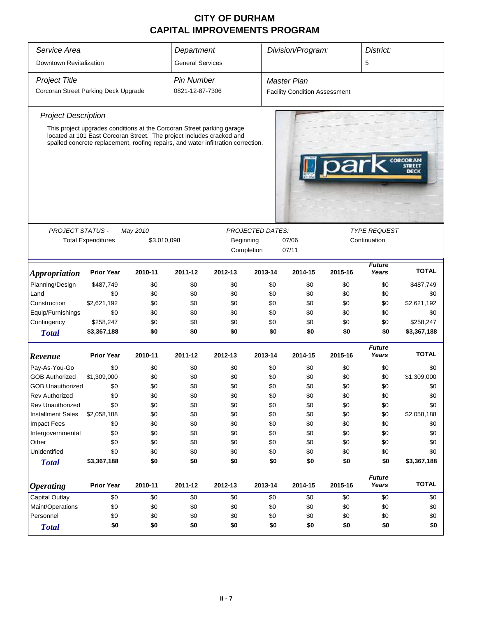| Service Area                         |                                                                                                                                                            |             | Department              |           |                  | Division/Program:                    | District: |                        |                                          |  |
|--------------------------------------|------------------------------------------------------------------------------------------------------------------------------------------------------------|-------------|-------------------------|-----------|------------------|--------------------------------------|-----------|------------------------|------------------------------------------|--|
| Downtown Revitalization              |                                                                                                                                                            |             | <b>General Services</b> |           |                  |                                      |           | 5                      |                                          |  |
|                                      |                                                                                                                                                            |             |                         |           |                  |                                      |           |                        |                                          |  |
| <b>Project Title</b>                 |                                                                                                                                                            |             | <b>Pin Number</b>       |           |                  | <b>Master Plan</b>                   |           |                        |                                          |  |
| Corcoran Street Parking Deck Upgrade |                                                                                                                                                            |             | 0821-12-87-7306         |           |                  | <b>Facility Condition Assessment</b> |           |                        |                                          |  |
| <b>Project Description</b>           |                                                                                                                                                            |             |                         |           |                  |                                      |           |                        |                                          |  |
|                                      | This project upgrades conditions at the Corcoran Street parking garage                                                                                     |             |                         |           |                  |                                      |           |                        |                                          |  |
|                                      | located at 101 East Corcoran Street. The project includes cracked and<br>spalled concrete replacement, roofing repairs, and water infiltration correction. |             |                         |           |                  |                                      |           |                        |                                          |  |
|                                      |                                                                                                                                                            |             |                         |           |                  |                                      |           |                        |                                          |  |
|                                      |                                                                                                                                                            |             |                         |           |                  |                                      |           |                        | <b>CORCORAN</b><br><b>STREET</b><br>DECK |  |
|                                      |                                                                                                                                                            |             |                         |           |                  |                                      |           |                        |                                          |  |
|                                      |                                                                                                                                                            |             |                         |           |                  |                                      |           |                        |                                          |  |
|                                      |                                                                                                                                                            |             |                         |           |                  |                                      |           |                        |                                          |  |
|                                      |                                                                                                                                                            |             |                         |           |                  |                                      |           |                        |                                          |  |
|                                      |                                                                                                                                                            |             |                         |           |                  |                                      |           |                        |                                          |  |
| <b>PROJECT STATUS -</b>              |                                                                                                                                                            | May 2010    |                         |           | PROJECTED DATES: | <b>TYPE REQUEST</b>                  |           |                        |                                          |  |
|                                      | <b>Total Expenditures</b>                                                                                                                                  | \$3,010,098 |                         | Beginning |                  | 07/06                                |           | Continuation           |                                          |  |
|                                      |                                                                                                                                                            |             |                         |           | Completion       | 07/11                                |           |                        |                                          |  |
|                                      |                                                                                                                                                            |             |                         |           |                  |                                      |           | <b>Future</b>          |                                          |  |
| <i><b>Appropriation</b></i>          | <b>Prior Year</b>                                                                                                                                          | 2010-11     | 2011-12                 | 2012-13   | 2013-14          | 2014-15                              | 2015-16   | Years                  | <b>TOTAL</b>                             |  |
| Planning/Design                      | \$487,749                                                                                                                                                  | \$0         | \$0                     | \$0       | \$0              | \$0                                  | \$0       | \$0                    | \$487,749                                |  |
| Land                                 | \$0                                                                                                                                                        | \$0         | \$0                     | \$0       | \$0              | \$0                                  | \$0       | \$0                    | \$0                                      |  |
| Construction                         | \$2,621,192                                                                                                                                                | \$0         | \$0                     | \$0       | \$0              | \$0                                  | \$0       | \$0                    | \$2,621,192                              |  |
| Equip/Furnishings                    | \$0                                                                                                                                                        | \$0         | \$0                     | \$0       | \$0              | \$0                                  | \$0       | \$0                    | \$0                                      |  |
| Contingency                          | \$258,247                                                                                                                                                  | \$0         | \$0                     | \$0       | \$0              | \$0                                  | \$0       | \$0                    | \$258,247                                |  |
| <b>Total</b>                         | \$3,367,188                                                                                                                                                | \$0         | \$0                     | \$0       | \$0              | \$0                                  | \$0       | \$0                    | \$3,367,188                              |  |
| Revenue                              | <b>Prior Year</b>                                                                                                                                          | 2010-11     | 2011-12                 | 2012-13   | 2013-14          | 2014-15                              | 2015-16   | <b>Future</b><br>Years | <b>TOTAL</b>                             |  |
| Pay-As-You-Go                        | \$0                                                                                                                                                        | \$0         | \$0                     | \$0       | \$0              | \$0                                  | \$0       | \$0                    | \$0                                      |  |
| <b>GOB Authorized</b>                | \$1,309,000                                                                                                                                                | \$0         | \$0                     | \$0       | \$0              | \$0                                  | \$0       | \$0                    | \$1,309,000                              |  |
| <b>GOB Unauthorized</b>              | \$0                                                                                                                                                        | \$0         | \$0                     | \$0       | \$0              | \$0                                  | \$0       | \$0                    | \$0                                      |  |
| <b>Rev Authorized</b>                | \$0                                                                                                                                                        | \$0         | \$0                     | \$0       | \$0              | \$0                                  | \$0       | \$0                    | \$0                                      |  |
| Rev Unauthorized                     | \$0                                                                                                                                                        | \$0         | \$0                     | \$0       | \$0              | \$0                                  | \$0       | \$0                    | \$0                                      |  |
| <b>Installment Sales</b>             | \$2,058,188                                                                                                                                                | \$0         | \$0                     | \$0       | \$0              | \$0                                  | \$0       | \$0                    | \$2,058,188                              |  |
| <b>Impact Fees</b>                   | \$0                                                                                                                                                        | \$0         | \$0                     | \$0       | \$0              | \$0                                  | \$0       | \$0                    | \$0                                      |  |
| Intergovernmental                    | \$0                                                                                                                                                        | \$0         | \$0                     | \$0       | \$0              | \$0                                  | \$0       | \$0                    | \$0                                      |  |
| Other                                | \$0                                                                                                                                                        | \$0         | \$0                     | \$0       | \$0              | \$0                                  | \$0       | \$0                    | \$0                                      |  |
| Unidentified                         | \$0                                                                                                                                                        | \$0         | \$0                     | \$0       | \$0              | \$0                                  | \$0       | \$0                    | \$0                                      |  |
| <b>Total</b>                         | \$3,367,188                                                                                                                                                | \$0         | \$0                     | \$0       | \$0              | \$0                                  | \$0       | \$0                    | \$3,367,188                              |  |
|                                      |                                                                                                                                                            |             |                         |           |                  |                                      |           | <b>Future</b>          |                                          |  |
| <b>Operating</b>                     | <b>Prior Year</b>                                                                                                                                          | 2010-11     | 2011-12                 | 2012-13   | 2013-14          | 2014-15                              | 2015-16   | Years                  | <b>TOTAL</b>                             |  |
| Capital Outlay                       | \$0                                                                                                                                                        | \$0         | \$0                     | \$0       | \$0              | \$0                                  | \$0       | \$0                    | \$0                                      |  |
| Maint/Operations                     | \$0                                                                                                                                                        | \$0         | \$0                     | \$0       | \$0              | \$0                                  | \$0       | \$0                    | \$0                                      |  |
| Personnel                            | \$0                                                                                                                                                        | \$0         | \$0                     | \$0       | \$0              | \$0                                  | \$0       | \$0                    | \$0                                      |  |
| <b>Total</b>                         | \$0                                                                                                                                                        | \$0         | \$0                     | \$0       | \$0              | \$0                                  | \$0       | \$0                    | \$0                                      |  |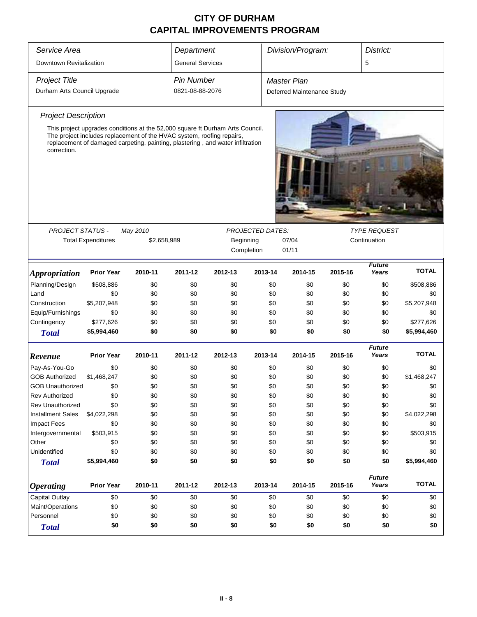| Service Area                |                                                                                                                                                                                                                                          |          | Department                                                      |         |                         | Division/Program:          |         | District:              |              |
|-----------------------------|------------------------------------------------------------------------------------------------------------------------------------------------------------------------------------------------------------------------------------------|----------|-----------------------------------------------------------------|---------|-------------------------|----------------------------|---------|------------------------|--------------|
| Downtown Revitalization     |                                                                                                                                                                                                                                          |          | <b>General Services</b>                                         |         |                         |                            |         | 5                      |              |
| <b>Project Title</b>        |                                                                                                                                                                                                                                          |          | <b>Pin Number</b>                                               |         |                         | <b>Master Plan</b>         |         |                        |              |
| Durham Arts Council Upgrade |                                                                                                                                                                                                                                          |          | 0821-08-88-2076                                                 |         |                         | Deferred Maintenance Study |         |                        |              |
| <b>Project Description</b>  |                                                                                                                                                                                                                                          |          |                                                                 |         |                         |                            |         |                        |              |
|                             |                                                                                                                                                                                                                                          |          |                                                                 |         |                         |                            |         |                        |              |
| correction.                 | This project upgrades conditions at the 52,000 square ft Durham Arts Council.<br>The project includes replacement of the HVAC system, roofing repairs,<br>replacement of damaged carpeting, painting, plastering, and water infiltration |          |                                                                 |         |                         |                            |         |                        |              |
|                             |                                                                                                                                                                                                                                          |          |                                                                 |         |                         |                            |         | <b>TYPE REQUEST</b>    |              |
| <b>PROJECT STATUS -</b>     |                                                                                                                                                                                                                                          | May 2010 |                                                                 |         | <b>PROJECTED DATES:</b> |                            |         |                        |              |
|                             | <b>Total Expenditures</b>                                                                                                                                                                                                                |          | Beginning<br>07/04<br>Continuation<br>\$2,658,989<br>Completion |         |                         |                            |         |                        |              |
|                             |                                                                                                                                                                                                                                          |          |                                                                 |         |                         | 01/11                      |         |                        |              |
| <i><b>Appropriation</b></i> | <b>Prior Year</b>                                                                                                                                                                                                                        | 2010-11  | 2011-12                                                         | 2012-13 | 2013-14                 | 2014-15                    | 2015-16 | <b>Future</b><br>Years | <b>TOTAL</b> |
| Planning/Design             | \$508,886                                                                                                                                                                                                                                | \$0      | \$0                                                             | \$0     | \$0                     | \$0                        | \$0     | \$0                    | \$508,886    |
| Land                        | \$0                                                                                                                                                                                                                                      | \$0      | \$0                                                             | \$0     | \$0                     | \$0                        | \$0     | \$0                    | \$0          |
| Construction                | \$5,207,948                                                                                                                                                                                                                              | \$0      | \$0                                                             | \$0     | \$0                     | \$0                        | \$0     | \$0                    | \$5,207,948  |
| Equip/Furnishings           | \$0                                                                                                                                                                                                                                      | \$0      | \$0                                                             | \$0     | \$0                     | \$0                        | \$0     | \$0                    | \$0          |
| Contingency                 | \$277,626                                                                                                                                                                                                                                | \$0      | \$0                                                             | \$0     | \$0                     | \$0                        | \$0     | \$0                    | \$277,626    |
| <b>Total</b>                | \$5,994,460                                                                                                                                                                                                                              | \$0      | \$0                                                             | \$0     | \$0                     | \$0                        | \$0     | \$0                    | \$5,994,460  |
| Revenue                     | <b>Prior Year</b>                                                                                                                                                                                                                        | 2010-11  | 2011-12                                                         | 2012-13 | 2013-14                 | 2014-15                    | 2015-16 | <b>Future</b><br>Years | <b>TOTAL</b> |
| Pay-As-You-Go               | \$0                                                                                                                                                                                                                                      | \$0      | \$0                                                             | \$0     | \$0                     | \$0                        | \$0     | \$0                    | \$0          |
| <b>GOB Authorized</b>       | \$1,468,247                                                                                                                                                                                                                              | \$0      | \$0                                                             | \$0     | \$0                     | \$0                        | \$0     | \$0                    | \$1,468,247  |
| GOB Unauthorized            | \$0                                                                                                                                                                                                                                      | \$0      | \$0                                                             | \$0     | \$0                     | \$0                        | \$0     | \$0                    | \$0          |
| <b>Rev Authorized</b>       | \$0                                                                                                                                                                                                                                      | \$0      | \$0                                                             | \$0     | \$0                     | \$0                        | \$0     | \$0                    | \$0          |
| <b>Rev Unauthorized</b>     | \$0                                                                                                                                                                                                                                      | \$0      | \$0                                                             | \$0     | \$0                     | \$0                        | \$0     | \$0                    | \$0          |
| <b>Installment Sales</b>    | \$4,022,298                                                                                                                                                                                                                              | \$0      | \$0                                                             | \$0     | \$0                     | \$0                        | \$0     | \$0                    | \$4,022,298  |
| <b>Impact Fees</b>          | \$0                                                                                                                                                                                                                                      | \$0      | \$0                                                             | \$0     | \$0                     | \$0                        | \$0     | \$0                    | \$0          |
| Intergovernmental           | \$503,915                                                                                                                                                                                                                                | \$0      | \$0                                                             | \$0     | \$0                     | \$0                        | \$0     | \$0                    | \$503,915    |
| Other                       | \$0                                                                                                                                                                                                                                      | \$0      | \$0                                                             | \$0     | \$0                     | \$0                        | \$0     | \$0                    | \$0          |
| Unidentified                | \$0                                                                                                                                                                                                                                      | \$0      | \$0                                                             | \$0     | \$0                     | \$0                        | \$0     | \$0                    | \$0          |
| <b>Total</b>                | \$5,994,460                                                                                                                                                                                                                              | \$0      | \$0                                                             | \$0     | \$0                     | \$0                        | \$0     | \$0                    | \$5,994,460  |
| <b>Operating</b>            | <b>Prior Year</b>                                                                                                                                                                                                                        | 2010-11  | 2011-12                                                         | 2012-13 | 2013-14                 | 2014-15                    | 2015-16 | <b>Future</b><br>Years | <b>TOTAL</b> |
| Capital Outlay              | \$0                                                                                                                                                                                                                                      | \$0      | \$0                                                             | \$0     | \$0                     | \$0                        | \$0     | \$0                    | \$0          |
| Maint/Operations            | \$0                                                                                                                                                                                                                                      | \$0      | \$0                                                             | \$0     | \$0                     | \$0                        | \$0     | \$0                    | \$0          |
| Personnel                   | \$0                                                                                                                                                                                                                                      | \$0      | \$0                                                             | \$0     | \$0                     | \$0                        | \$0     | \$0                    | \$0          |
| <b>Total</b>                | \$0<br>\$0<br>\$0<br>\$0<br>\$0<br>\$0<br>\$0<br>\$0                                                                                                                                                                                     |          |                                                                 |         |                         |                            |         | \$0                    |              |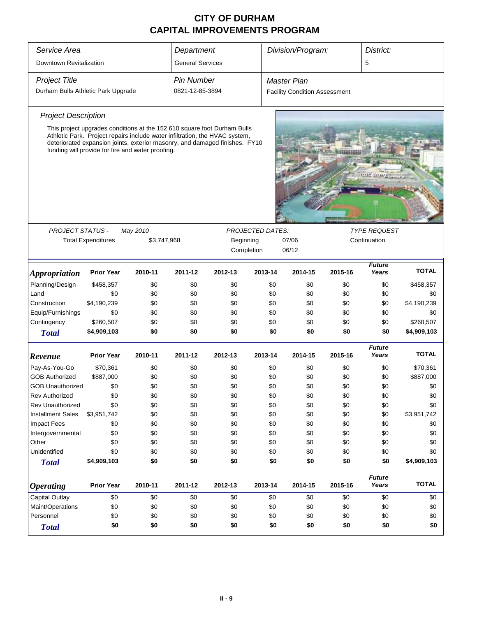| Service Area                       | Department                                                                                                                                                                                                      |             |                         | Division/Program:<br>District: |                         |                                      |         |                        |              |  |
|------------------------------------|-----------------------------------------------------------------------------------------------------------------------------------------------------------------------------------------------------------------|-------------|-------------------------|--------------------------------|-------------------------|--------------------------------------|---------|------------------------|--------------|--|
|                                    |                                                                                                                                                                                                                 |             |                         |                                |                         |                                      |         |                        |              |  |
| Downtown Revitalization            |                                                                                                                                                                                                                 |             | <b>General Services</b> |                                |                         |                                      |         | 5                      |              |  |
| <b>Project Title</b>               |                                                                                                                                                                                                                 |             | <b>Pin Number</b>       |                                |                         | <b>Master Plan</b>                   |         |                        |              |  |
| Durham Bulls Athletic Park Upgrade |                                                                                                                                                                                                                 |             | 0821-12-85-3894         |                                |                         | <b>Facility Condition Assessment</b> |         |                        |              |  |
| <b>Project Description</b>         |                                                                                                                                                                                                                 |             |                         |                                |                         |                                      |         |                        |              |  |
|                                    | This project upgrades conditions at the 152,610 square foot Durham Bulls                                                                                                                                        |             |                         |                                |                         |                                      |         |                        |              |  |
|                                    | Athletic Park. Project repairs include water infiltration, the HVAC system,<br>deteriorated expansion joints, exterior masonry, and damaged finishes. FY10<br>funding will provide for fire and water proofing. |             |                         |                                |                         |                                      |         |                        |              |  |
|                                    |                                                                                                                                                                                                                 |             |                         |                                |                         |                                      |         |                        |              |  |
| <b>PROJECT STATUS -</b>            |                                                                                                                                                                                                                 | May 2010    |                         |                                | <b>PROJECTED DATES:</b> |                                      |         | <b>TYPE REQUEST</b>    |              |  |
|                                    | <b>Total Expenditures</b>                                                                                                                                                                                       | \$3,747,968 |                         | Beginning                      |                         | 07/06<br>Continuation                |         |                        |              |  |
|                                    |                                                                                                                                                                                                                 |             |                         |                                | Completion              | 06/12                                |         |                        |              |  |
| <i><b>Appropriation</b></i>        | <b>Prior Year</b>                                                                                                                                                                                               | 2010-11     | 2011-12                 | 2012-13                        | 2013-14                 | 2014-15                              | 2015-16 | <b>Future</b><br>Years | <b>TOTAL</b> |  |
| Planning/Design                    | \$458,357                                                                                                                                                                                                       | \$0         | \$0                     | \$0                            | \$0                     | \$0                                  | \$0     | \$0                    | \$458,357    |  |
| Land                               | \$0                                                                                                                                                                                                             | \$0         | \$0                     | \$0                            | \$0                     | \$0                                  | \$0     | \$0                    | \$0          |  |
| Construction                       | \$4,190,239                                                                                                                                                                                                     | \$0         | \$0                     | \$0                            | \$0                     | \$0                                  | \$0     | \$0                    | \$4,190,239  |  |
| Equip/Furnishings                  | \$0                                                                                                                                                                                                             | \$0         | \$0                     | \$0                            | \$0                     | \$0                                  | \$0     | \$0                    | \$0          |  |
| Contingency                        | \$260,507                                                                                                                                                                                                       | \$0         | \$0                     | \$0                            | \$0                     | \$0                                  | \$0     | \$0                    | \$260,507    |  |
| <b>Total</b>                       | \$4,909,103                                                                                                                                                                                                     | \$0         | \$0                     | \$0                            |                         | \$0<br>\$0                           | \$0     | \$0                    | \$4,909,103  |  |
| Revenue                            | <b>Prior Year</b>                                                                                                                                                                                               | 2010-11     | 2011-12                 | 2012-13                        | 2013-14                 | 2014-15                              | 2015-16 | <b>Future</b><br>Years | <b>TOTAL</b> |  |
| Pay-As-You-Go                      | \$70,361                                                                                                                                                                                                        | \$0         | \$0                     | \$0                            | \$0                     | \$0                                  | \$0     | \$0                    | \$70,361     |  |
| <b>GOB Authorized</b>              | \$887,000                                                                                                                                                                                                       | \$0         | \$0                     | \$0                            | \$0                     | \$0                                  | \$0     | \$0                    | \$887,000    |  |
| <b>GOB Unauthorized</b>            | \$0                                                                                                                                                                                                             | \$0         | \$0                     | \$0                            | \$0                     | \$0                                  | \$0     | \$0                    | \$0          |  |
| <b>Rev Authorized</b>              | \$0                                                                                                                                                                                                             | \$0         | \$0                     | \$0                            | \$0                     | \$0                                  | \$0     | \$0                    | \$0          |  |
| <b>Rev Unauthorized</b>            | \$0                                                                                                                                                                                                             | \$0         | \$0                     | \$0                            | \$0                     | \$0                                  | \$0     | \$0                    | \$0          |  |
| <b>Installment Sales</b>           | \$3,951,742                                                                                                                                                                                                     | \$0         | \$0                     | \$0                            | \$0                     | \$0                                  | \$0     | \$0                    | \$3,951,742  |  |
| <b>Impact Fees</b>                 | \$0                                                                                                                                                                                                             | \$0         | \$0                     | \$0                            | \$0                     | \$0                                  | \$0     | \$0                    | \$0          |  |
| Intergovernmental                  | \$0                                                                                                                                                                                                             | \$0         | \$0                     | \$0                            | \$0                     | \$0                                  | \$0     | \$0                    | \$0          |  |
| Other                              | \$0                                                                                                                                                                                                             | \$0         | \$0                     | \$0                            | \$0                     | \$0                                  | \$0     | \$0                    | \$0          |  |
| Unidentified                       | \$0                                                                                                                                                                                                             | \$0         | \$0                     | \$0                            | \$0                     | \$0                                  | \$0     | \$0                    | \$0          |  |
| <b>Total</b>                       | \$4,909,103                                                                                                                                                                                                     | \$0         | \$0                     | \$0                            | \$0                     | \$0                                  | \$0     | \$0                    | \$4,909,103  |  |
| <b>Operating</b>                   | <b>Prior Year</b>                                                                                                                                                                                               | 2010-11     | 2011-12                 | 2012-13                        | 2013-14                 | 2014-15                              | 2015-16 | <b>Future</b><br>Years | <b>TOTAL</b> |  |
| Capital Outlay                     | \$0                                                                                                                                                                                                             | \$0         | \$0                     | \$0                            | \$0                     | \$0                                  | \$0     | \$0                    | \$0          |  |
| Maint/Operations                   | \$0                                                                                                                                                                                                             | \$0         | \$0                     | \$0                            | \$0                     | \$0                                  | \$0     | \$0                    | \$0          |  |
| Personnel                          | \$0<br>\$0<br>\$0<br>\$0                                                                                                                                                                                        |             |                         |                                |                         | \$0<br>\$0                           | \$0     | \$0                    | \$0          |  |
| <b>Total</b>                       | \$0                                                                                                                                                                                                             | \$0         | \$0                     | \$0                            |                         | \$0<br>\$0                           | \$0     | \$0                    | \$0          |  |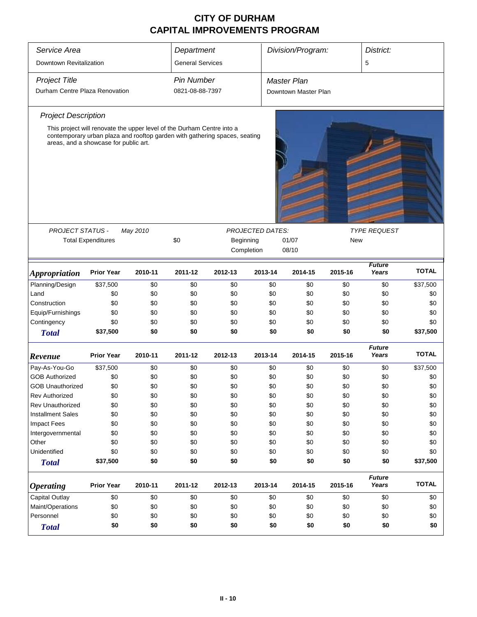| Service Area                   |                                                                                                                     |          | Department              |                           |                         | Division/Program:    |         | District:              |              |
|--------------------------------|---------------------------------------------------------------------------------------------------------------------|----------|-------------------------|---------------------------|-------------------------|----------------------|---------|------------------------|--------------|
| Downtown Revitalization        |                                                                                                                     |          | <b>General Services</b> |                           |                         |                      |         | 5                      |              |
| <b>Project Title</b>           |                                                                                                                     |          | Pin Number              |                           |                         | <b>Master Plan</b>   |         |                        |              |
| Durham Centre Plaza Renovation |                                                                                                                     |          | 0821-08-88-7397         |                           |                         | Downtown Master Plan |         |                        |              |
| <b>Project Description</b>     |                                                                                                                     |          |                         |                           |                         |                      |         |                        |              |
|                                | This project will renovate the upper level of the Durham Centre into a                                              |          |                         |                           |                         |                      |         |                        |              |
|                                | contemporary urban plaza and rooftop garden with gathering spaces, seating<br>areas, and a showcase for public art. |          |                         |                           |                         |                      |         |                        |              |
| <b>PROJECT STATUS -</b>        |                                                                                                                     | May 2010 |                         |                           | <b>PROJECTED DATES:</b> |                      |         | <b>TYPE REQUEST</b>    |              |
|                                | <b>Total Expenditures</b>                                                                                           |          | \$0                     | Beginning<br>01/07<br>New |                         |                      |         |                        |              |
|                                |                                                                                                                     |          |                         |                           | Completion              | 08/10                |         |                        |              |
|                                |                                                                                                                     |          |                         |                           |                         |                      |         |                        |              |
| <b>Appropriation</b>           | <b>Prior Year</b>                                                                                                   | 2010-11  | 2011-12                 | 2012-13                   | 2013-14                 | 2014-15              | 2015-16 | <b>Future</b><br>Years | <b>TOTAL</b> |
| Planning/Design                | \$37,500                                                                                                            | \$0      | \$0                     | \$0                       | \$0                     | \$0                  | \$0     | \$0                    | \$37,500     |
| Land                           | \$0                                                                                                                 | \$0      | \$0                     | \$0                       | \$0                     | \$0                  | \$0     | \$0                    | \$0          |
| Construction                   | \$0                                                                                                                 | \$0      | \$0                     | \$0                       | \$0                     | \$0                  | \$0     | \$0                    | \$0          |
| Equip/Furnishings              | \$0                                                                                                                 | \$0      | \$0                     | \$0                       | \$0                     | \$0                  | \$0     | \$0                    | \$0          |
| Contingency                    | \$0                                                                                                                 | \$0      | \$0                     | \$0                       | \$0                     | \$0                  | \$0     | \$0                    | \$0          |
| <b>Total</b>                   | \$37,500                                                                                                            | \$0      | \$0                     | \$0                       | \$0                     | \$0                  | \$0     | \$0                    | \$37,500     |
| Revenue                        | <b>Prior Year</b>                                                                                                   | 2010-11  | 2011-12                 | 2012-13                   | 2013-14                 | 2014-15              | 2015-16 | <b>Future</b><br>Years | <b>TOTAL</b> |
| Pay-As-You-Go                  | \$37,500                                                                                                            | \$0      | \$0                     | \$0                       | \$0                     | \$0                  | \$0     | \$0                    | \$37,500     |
| <b>GOB Authorized</b>          | \$0                                                                                                                 | \$0      | \$0                     | \$0                       | \$0                     | \$0                  | \$0     | \$0                    | \$0          |
| <b>GOB Unauthorized</b>        | \$0                                                                                                                 | \$0      | \$0                     | \$0                       | \$0                     | \$0                  | \$0     | \$0                    | \$0          |
| <b>Rev Authorized</b>          | \$0                                                                                                                 | \$0      | \$0                     | \$0                       | \$0                     | \$0                  | \$0     | \$0                    | \$0          |
| <b>Rev Unauthorized</b>        | \$0                                                                                                                 | \$0      | \$0                     | \$0                       | \$0                     | \$0                  | \$0     | \$0                    | \$0          |
| <b>Installment Sales</b>       | \$0                                                                                                                 | \$0      | \$0                     | \$0                       | \$0                     | \$0                  | \$0     | \$0                    | \$0          |
| <b>Impact Fees</b>             | \$0                                                                                                                 | \$0      | \$0                     | \$0                       | \$0                     | \$0                  | \$0     | \$0                    | \$0          |
| Intergovernmental              | \$0                                                                                                                 | \$0      | \$0                     | \$0                       | \$0                     | \$0                  | \$0     | \$0                    | \$0          |
| Other                          | \$0                                                                                                                 | \$0      | \$0                     | \$0                       | \$0                     | \$0                  | \$0     | \$0                    | \$0          |
| Unidentified                   | \$0                                                                                                                 | \$0      | \$0                     | \$0                       | \$0                     | \$0                  | \$0     | \$0                    | \$0          |
| <b>Total</b>                   | \$37,500                                                                                                            | \$0      | \$0                     | \$0                       | \$0                     | \$0                  | \$0     | \$0                    | \$37,500     |
| <b>Operating</b>               | <b>Prior Year</b>                                                                                                   | 2010-11  | 2011-12                 | 2012-13                   | 2013-14                 | 2014-15              | 2015-16 | <b>Future</b><br>Years | <b>TOTAL</b> |
| Capital Outlay                 | \$0                                                                                                                 | \$0      | \$0                     | \$0                       | \$0                     | \$0                  | \$0     | \$0                    | \$0          |
| Maint/Operations               | \$0                                                                                                                 | \$0      | \$0                     | \$0                       | \$0                     | \$0                  | \$0     | \$0                    | \$0          |
| Personnel                      | \$0                                                                                                                 | \$0      | \$0                     | \$0                       | \$0                     | \$0                  | \$0     | \$0                    | \$0          |
| <b>Total</b>                   | \$0                                                                                                                 | \$0      | \$0                     | \$0                       | \$0                     | \$0                  | \$0     | \$0                    | \$0          |